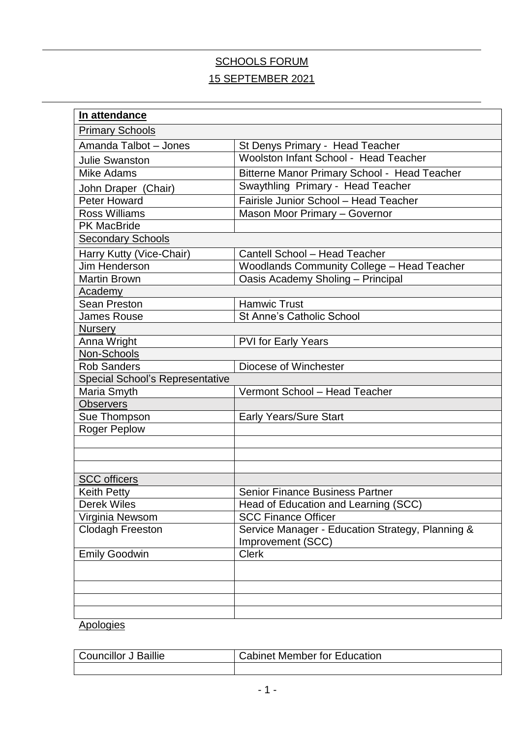# SCHOOLS FORUM 15 SEPTEMBER 2021

| In attendance                          |                                                   |
|----------------------------------------|---------------------------------------------------|
| <b>Primary Schools</b>                 |                                                   |
| Amanda Talbot - Jones                  | St Denys Primary - Head Teacher                   |
| <b>Julie Swanston</b>                  | Woolston Infant School - Head Teacher             |
| <b>Mike Adams</b>                      | Bitterne Manor Primary School - Head Teacher      |
| John Draper (Chair)                    | Swaythling Primary - Head Teacher                 |
| <b>Peter Howard</b>                    | Fairisle Junior School - Head Teacher             |
| <b>Ross Williams</b>                   | Mason Moor Primary - Governor                     |
| <b>PK MacBride</b>                     |                                                   |
| <b>Secondary Schools</b>               |                                                   |
| Harry Kutty (Vice-Chair)               | Cantell School - Head Teacher                     |
| Jim Henderson                          | <b>Woodlands Community College - Head Teacher</b> |
| <b>Martin Brown</b>                    | Oasis Academy Sholing - Principal                 |
| <b>Academy</b>                         |                                                   |
| Sean Preston                           | <b>Hamwic Trust</b>                               |
| <b>James Rouse</b>                     | <b>St Anne's Catholic School</b>                  |
| <b>Nursery</b>                         |                                                   |
| Anna Wright                            | PVI for Early Years                               |
| Non-Schools                            |                                                   |
| <b>Rob Sanders</b>                     | Diocese of Winchester                             |
| <b>Special School's Representative</b> |                                                   |
| Maria Smyth                            | Vermont School - Head Teacher                     |
| <b>Observers</b>                       |                                                   |
| Sue Thompson                           | <b>Early Years/Sure Start</b>                     |
| <b>Roger Peplow</b>                    |                                                   |
|                                        |                                                   |
|                                        |                                                   |
| <b>SCC</b> officers                    |                                                   |
| <b>Keith Petty</b>                     | <b>Senior Finance Business Partner</b>            |
| <b>Derek Wiles</b>                     | Head of Education and Learning (SCC)              |
| Virginia Newsom                        | <b>SCC Finance Officer</b>                        |
| <b>Clodagh Freeston</b>                | Service Manager - Education Strategy, Planning &  |
|                                        | Improvement (SCC)                                 |
| <b>Emily Goodwin</b>                   | <b>Clerk</b>                                      |
|                                        |                                                   |
|                                        |                                                   |
|                                        |                                                   |
|                                        |                                                   |
|                                        |                                                   |

#### **Apologies**

| <b>Councillor J Baillie</b> | <b>Cabinet Member for Education</b> |
|-----------------------------|-------------------------------------|
|                             |                                     |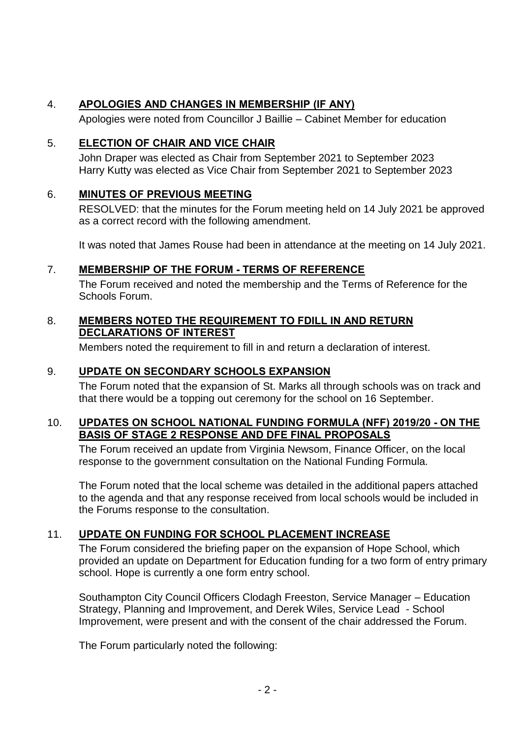## 4. **APOLOGIES AND CHANGES IN MEMBERSHIP (IF ANY)**

Apologies were noted from Councillor J Baillie – Cabinet Member for education

### 5. **ELECTION OF CHAIR AND VICE CHAIR**

John Draper was elected as Chair from September 2021 to September 2023 Harry Kutty was elected as Vice Chair from September 2021 to September 2023

## 6. **MINUTES OF PREVIOUS MEETING**

RESOLVED: that the minutes for the Forum meeting held on 14 July 2021 be approved as a correct record with the following amendment.

It was noted that James Rouse had been in attendance at the meeting on 14 July 2021.

#### 7. **MEMBERSHIP OF THE FORUM - TERMS OF REFERENCE**

The Forum received and noted the membership and the Terms of Reference for the Schools Forum.

#### 8. **MEMBERS NOTED THE REQUIREMENT TO FDILL IN AND RETURN DECLARATIONS OF INTEREST**

Members noted the requirement to fill in and return a declaration of interest.

### 9. **UPDATE ON SECONDARY SCHOOLS EXPANSION**

The Forum noted that the expansion of St. Marks all through schools was on track and that there would be a topping out ceremony for the school on 16 September.

#### 10. **UPDATES ON SCHOOL NATIONAL FUNDING FORMULA (NFF) 2019/20 - ON THE BASIS OF STAGE 2 RESPONSE AND DFE FINAL PROPOSALS**

The Forum received an update from Virginia Newsom, Finance Officer, on the local response to the government consultation on the National Funding Formula.

The Forum noted that the local scheme was detailed in the additional papers attached to the agenda and that any response received from local schools would be included in the Forums response to the consultation.

### 11. **UPDATE ON FUNDING FOR SCHOOL PLACEMENT INCREASE**

The Forum considered the briefing paper on the expansion of Hope School, which provided an update on Department for Education funding for a two form of entry primary school. Hope is currently a one form entry school.

Southampton City Council Officers Clodagh Freeston, Service Manager – Education Strategy, Planning and Improvement, and Derek Wiles, Service Lead - School Improvement, were present and with the consent of the chair addressed the Forum.

The Forum particularly noted the following: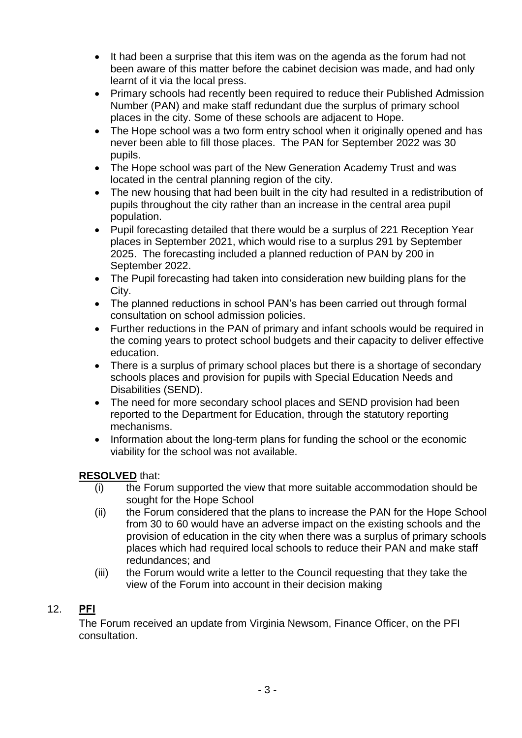- It had been a surprise that this item was on the agenda as the forum had not been aware of this matter before the cabinet decision was made, and had only learnt of it via the local press.
- Primary schools had recently been required to reduce their Published Admission Number (PAN) and make staff redundant due the surplus of primary school places in the city. Some of these schools are adjacent to Hope.
- The Hope school was a two form entry school when it originally opened and has never been able to fill those places. The PAN for September 2022 was 30 pupils.
- The Hope school was part of the New Generation Academy Trust and was located in the central planning region of the city.
- The new housing that had been built in the city had resulted in a redistribution of pupils throughout the city rather than an increase in the central area pupil population.
- Pupil forecasting detailed that there would be a surplus of 221 Reception Year places in September 2021, which would rise to a surplus 291 by September 2025. The forecasting included a planned reduction of PAN by 200 in September 2022.
- The Pupil forecasting had taken into consideration new building plans for the City.
- The planned reductions in school PAN's has been carried out through formal consultation on school admission policies.
- Further reductions in the PAN of primary and infant schools would be required in the coming years to protect school budgets and their capacity to deliver effective education.
- There is a surplus of primary school places but there is a shortage of secondary schools places and provision for pupils with Special Education Needs and Disabilities (SEND).
- The need for more secondary school places and SEND provision had been reported to the Department for Education, through the statutory reporting mechanisms.
- Information about the long-term plans for funding the school or the economic viability for the school was not available.

## **RESOLVED** that:

- (i) the Forum supported the view that more suitable accommodation should be sought for the Hope School
- (ii) the Forum considered that the plans to increase the PAN for the Hope School from 30 to 60 would have an adverse impact on the existing schools and the provision of education in the city when there was a surplus of primary schools places which had required local schools to reduce their PAN and make staff redundances; and
- (iii) the Forum would write a letter to the Council requesting that they take the view of the Forum into account in their decision making

## 12. **PFI**

The Forum received an update from Virginia Newsom, Finance Officer, on the PFI consultation.